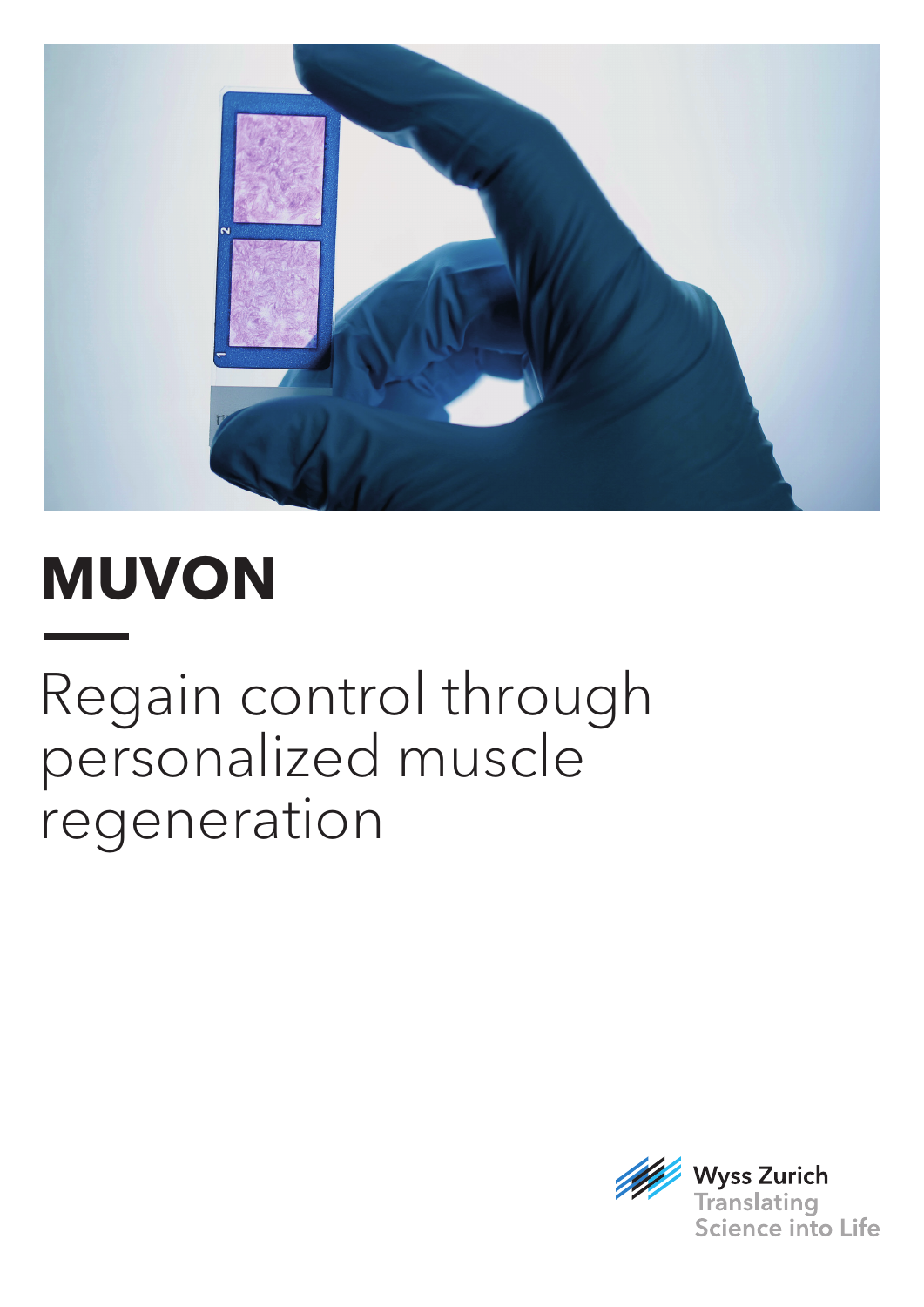

# **MUVON**

## Regain control through personalized muscle regeneration